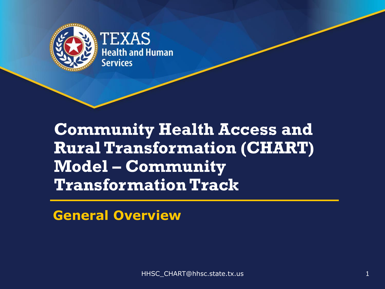

#### **Community Health Access and Rural Transformation (CHART) Model – Community Transformation Track**

**General Overview**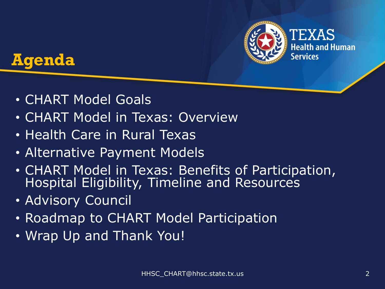



- CHART Model Goals
- CHART Model in Texas: Overview
- Health Care in Rural Texas
- Alternative Payment Models
- CHART Model in Texas: Benefits of Participation, Hospital Eligibility, Timeline and Resources
- Advisory Council
- Roadmap to CHART Model Participation
- Wrap Up and Thank You!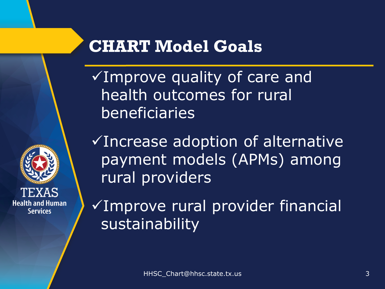

#### **CHART Model Goals**

✓Improve quality of care and health outcomes for rural beneficiaries

✓Increase adoption of alternative payment models (APMs) among rural providers

✓Improve rural provider financial sustainability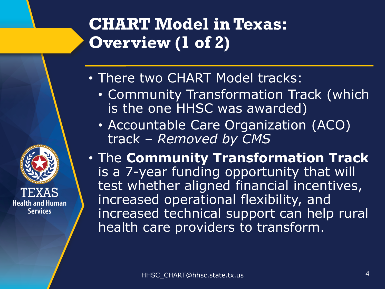## **CHART Model in Texas: Overview (1 of 2)**

- There two CHART Model tracks:
	- Community Transformation Track (which is the one HHSC was awarded)
	- Accountable Care Organization (ACO) track *– Removed by CMS*
- The **Community Transformation Track** is a 7-year funding opportunity that will test whether aligned financial incentives, increased operational flexibility, and increased technical support can help rural health care providers to transform.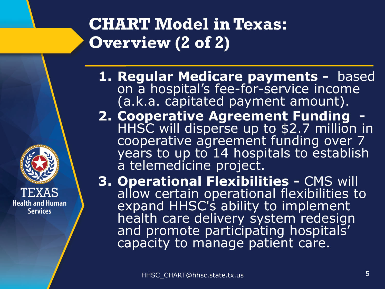#### **CHART Model in Texas: Overview (2 of 2)**

- **1. Regular Medicare payments -** based on a hospital's fee-for-service income (a.k.a. capitated payment amount).
- **2. Cooperative Agreement Funding** HHSC will disperse up to \$2.7 million in cooperative agreement funding over 7 years to up to 14 hospitals to establish a telemedicine project.

**3. Operational Flexibilities -** CMS will allow certain operational flexibilities to expand HHSC's ability to implement health care delivery system redesign and promote participating hospitals' capacity to manage patient care.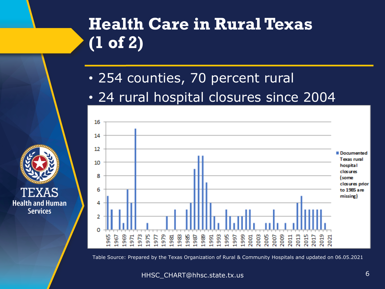## **Health Care in Rural Texas (1 of 2)**

- 254 counties, 70 percent rural
- 24 rural hospital closures since 2004



Table Source: Prepared by the Texas Organization of Rural & Community Hospitals and updated on 06.05.2021

HHSC\_CHART@hhsc.state.tx.us 6

**Health and Human** 

**Services**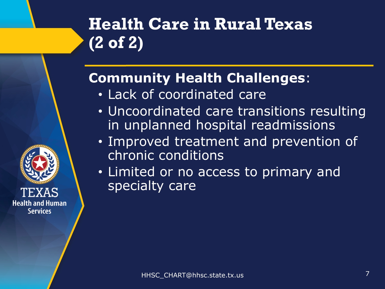## **Health Care in Rural Texas (2 of 2)**

#### **Community Health Challenges**:

• Lack of coordinated care

- Uncoordinated care transitions resulting in unplanned hospital readmissions
- Improved treatment and prevention of chronic conditions
- Limited or no access to primary and specialty care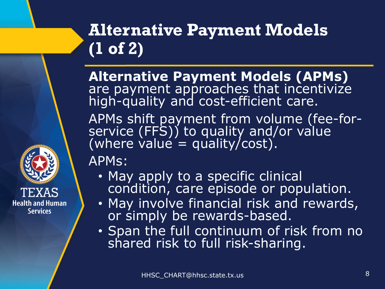## **Alternative Payment Models (1 of 2)**

**Alternative Payment Models (APMs)** are payment approaches that incentivize high-quality and cost-efficient care.

APMs shift payment from volume (fee-forservice (FFS)) to quality and/or value  $\overline{(where value = quality/cost)}.$ 

APMs:

- May apply to a specific clinical condition, care episode or population.
- May involve financial risk and rewards, or simply be rewards-based.
- Span the full continuum of risk from no shared risk to full risk-sharing.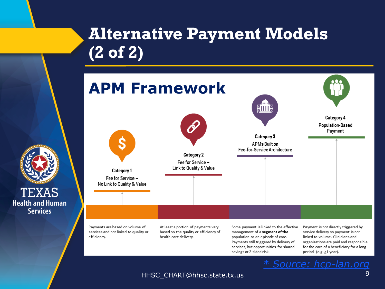#### **Alternative Payment Models (2 of 2)**



HHSC\_CHART@hhsc.state.tx.us 9

TEXAS

**Services**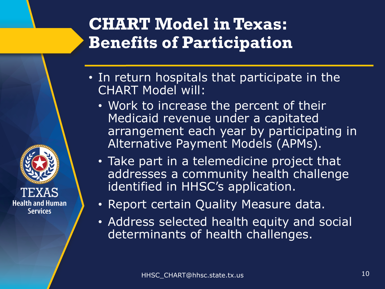#### **CHART Model in Texas: Benefits of Participation**

- In return hospitals that participate in the CHART Model will:
	- Work to increase the percent of their Medicaid revenue under a capitated arrangement each year by participating in Alternative Payment Models (APMs).
	- Take part in a telemedicine project that addresses a community health challenge identified in HHSC's application.
	- Report certain Quality Measure data.
	- Address selected health equity and social determinants of health challenges.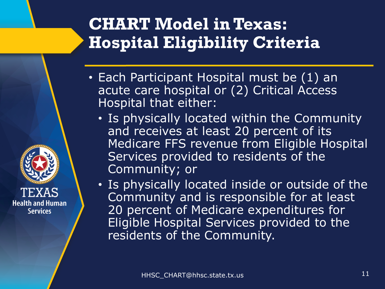#### **CHART Model in Texas: Hospital Eligibility Criteria**

- Each Participant Hospital must be (1) an acute care hospital or (2) Critical Access Hospital that either:
	- Is physically located within the Community and receives at least 20 percent of its Medicare FFS revenue from Eligible Hospital Services provided to residents of the Community; or
	- Is physically located inside or outside of the Community and is responsible for at least 20 percent of Medicare expenditures for Eligible Hospital Services provided to the residents of the Community.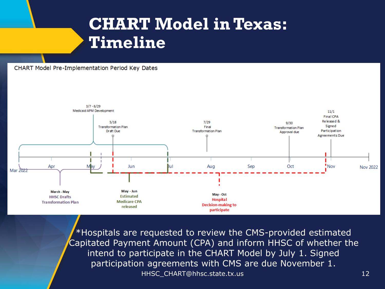#### **CHART Model in Texas: Timeline**

#### CHART Model Pre-Implementation Period Key Dates



HHSC\_CHART@hhsc.state.tx.us 12 \*Hospitals are requested to review the CMS-provided estimated Capitated Payment Amount (CPA) and inform HHSC of whether the intend to participate in the CHART Model by July 1. Signed participation agreements with CMS are due November 1.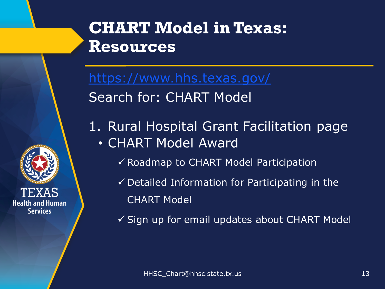

<https://www.hhs.texas.gov/> Search for: CHART Model

- 1. Rural Hospital Grant Facilitation page • CHART Model Award
	- ✓ Roadmap to CHART Model Participation
	- $\checkmark$  Detailed Information for Participating in the CHART Model
	- ✓ Sign up for email updates about CHART Model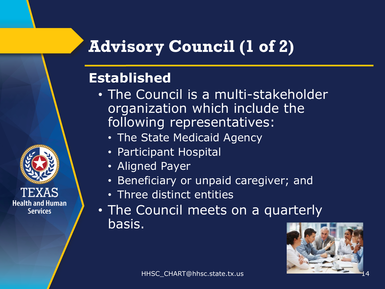#### **Advisory Council (1 of 2)**

#### **Established**

- The Council is a multi-stakeholder organization which include the following representatives:
	- The State Medicaid Agency
	- Participant Hospital
	- Aligned Payer
	- Beneficiary or unpaid caregiver; and
	- Three distinct entities
- The Council meets on a quarterly basis.

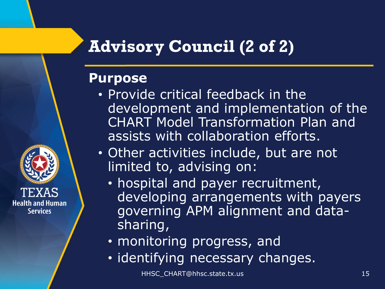#### **Advisory Council (2 of 2)**

#### **Purpose**

**Health and Human Services** 

- Provide critical feedback in the development and implementation of the CHART Model Transformation Plan and assists with collaboration efforts.
- Other activities include, but are not limited to, advising on:
	- hospital and payer recruitment, developing arrangements with payers governing APM alignment and datasharing,
	- monitoring progress, and
	- identifying necessary changes.

HHSC\_CHART@hhsc.state.tx.us 15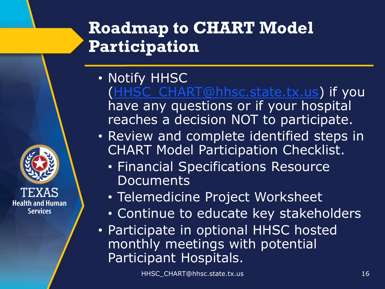## **Roadmap to CHART Model Participation**

- Notify HHSC ([HHSC\\_CHART@hhsc.state.tx.us](mailto:HHSC_CHART@hhsc.state.tx.us)) if you have any questions or if your hospital reaches a decision NOT to participate.
- Review and complete identified steps in CHART Model Participation Checklist.
	- Financial Specifications Resource **Documents**
	- Telemedicine Project Worksheet
	- Continue to educate key stakeholders
- Participate in optional HHSC hosted monthly meetings with potential Participant Hospitals.